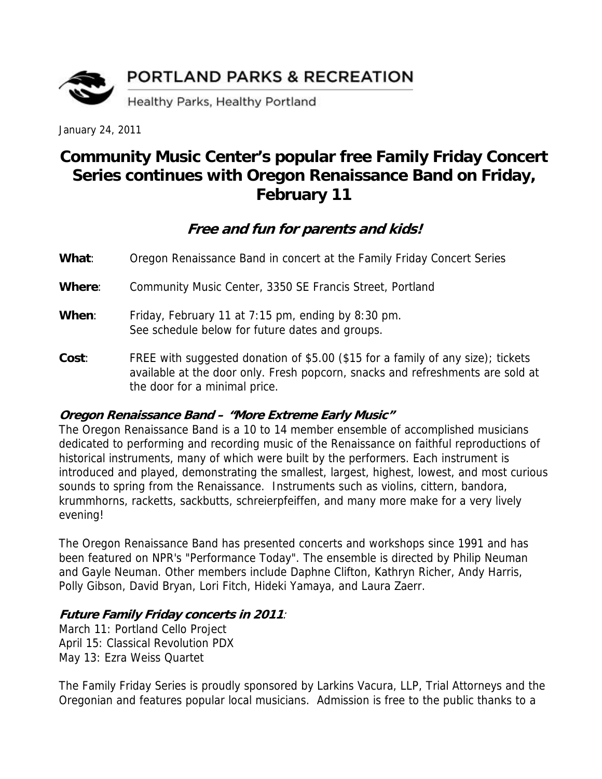

January 24, 2011

## **Community Music Center's popular free Family Friday Concert Series continues with Oregon Renaissance Band on Friday, February 11**

## **Free and fun for parents and kids!**

**What**: Oregon Renaissance Band in concert at the Family Friday Concert Series

**Where**: Community Music Center, 3350 SE Francis Street, Portland

- When: Friday, February 11 at 7:15 pm, ending by 8:30 pm. See schedule below for future dates and groups.
- **Cost**: FREE with suggested donation of \$5.00 (\$15 for a family of any size); tickets available at the door only. Fresh popcorn, snacks and refreshments are sold at the door for a minimal price.

## **Oregon Renaissance Band – "More Extreme Early Music"**

The Oregon Renaissance Band is a 10 to 14 member ensemble of accomplished musicians dedicated to performing and recording music of the Renaissance on faithful reproductions of historical instruments, many of which were built by the performers. Each instrument is introduced and played, demonstrating the smallest, largest, highest, lowest, and most curious sounds to spring from the Renaissance. Instruments such as violins, cittern, bandora, krummhorns, racketts, sackbutts, schreierpfeiffen, and many more make for a very lively evening!

The Oregon Renaissance Band has presented concerts and workshops since 1991 and has been featured on NPR's "Performance Today". The ensemble is directed by Philip Neuman and Gayle Neuman. Other members include Daphne Clifton, Kathryn Richer, Andy Harris, Polly Gibson, David Bryan, Lori Fitch, Hideki Yamaya, and Laura Zaerr.

## **Future Family Friday concerts in 2011**:

March 11: Portland Cello Project April 15: Classical Revolution PDX May 13: Ezra Weiss Quartet

The Family Friday Series is proudly sponsored by Larkins Vacura, LLP, Trial Attorneys and the Oregonian and features popular local musicians. Admission is free to the public thanks to a